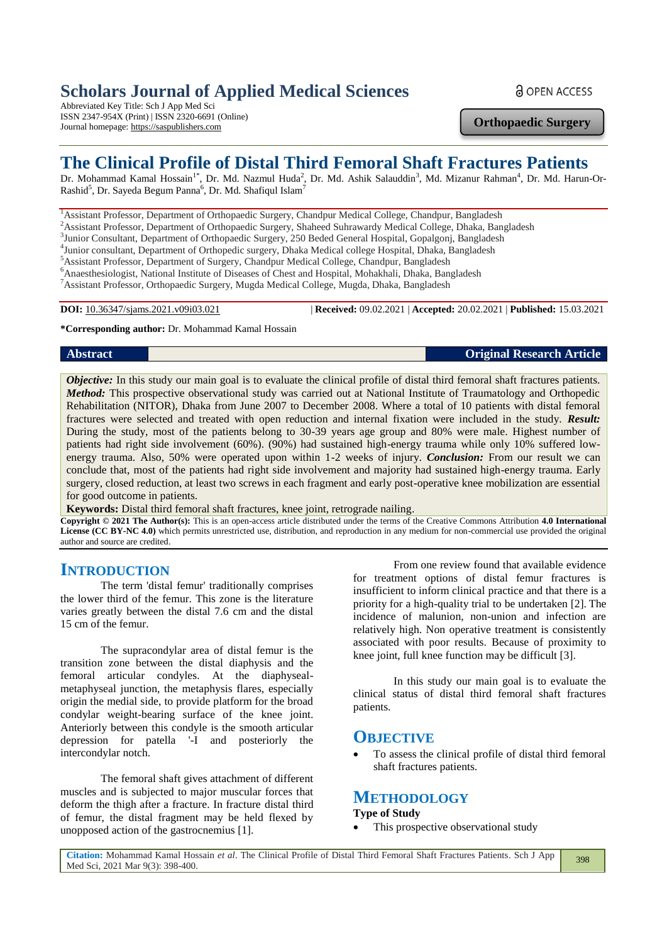# **Scholars Journal of Applied Medical Sciences**

Abbreviated Key Title: Sch J App Med Sci ISSN 2347-954X (Print) | ISSN 2320-6691 (Online) Journal homepage: https://saspublishers.com

**Orthopaedic Surgery**

**a** OPEN ACCESS

# **The Clinical Profile of Distal Third Femoral Shaft Fractures Patients**

Dr. Mohammad Kamal Hossain<sup>1\*</sup>, Dr. Md. Nazmul Huda<sup>2</sup>, Dr. Md. Ashik Salauddin<sup>3</sup>, Md. Mizanur Rahman<sup>4</sup>, Dr. Md. Harun-Or-Rashid<sup>5</sup>, Dr. Sayeda Begum Panna<sup>6</sup>, Dr. Md. Shafiqul Islam<sup>7</sup>

<sup>1</sup> Assistant Professor, Department of Orthopaedic Surgery, Chandpur Medical College, Chandpur, Bangladesh

<sup>2</sup>Assistant Professor, Department of Orthopaedic Surgery, Shaheed Suhrawardy Medical College, Dhaka, Bangladesh

<sup>3</sup>Junior Consultant, Department of Orthopaedic Surgery, 250 Beded General Hospital, Gopalgonj, Bangladesh

4 Junior consultant, Department of Orthopedic surgery, Dhaka Medical college Hospital, Dhaka, Bangladesh

<sup>5</sup>Assistant Professor, Department of Surgery, Chandpur Medical College, Chandpur, Bangladesh

<sup>6</sup>Anaesthesiologist, National Institute of Diseases of Chest and Hospital, Mohakhali, Dhaka, Bangladesh <sup>7</sup>Assistant Professor, Orthopaedic Surgery, Mugda Medical College, Mugda, Dhaka, Bangladesh

**DOI:** 10.36347/sjams.2021.v09i03.021 | **Received:** 09.02.2021 | **Accepted:** 20.02.2021 | **Published:** 15.03.2021

**\*Corresponding author:** Dr. Mohammad Kamal Hossain

**Abstract Original Research Article**

*Objective:* In this study our main goal is to evaluate the clinical profile of distal third femoral shaft fractures patients. *Method:* This prospective observational study was carried out at National Institute of Traumatology and Orthopedic Rehabilitation (NITOR), Dhaka from June 2007 to December 2008. Where a total of 10 patients with distal femoral fractures were selected and treated with open reduction and internal fixation were included in the study. *Result:* During the study, most of the patients belong to 30-39 years age group and 80% were male. Highest number of patients had right side involvement (60%). (90%) had sustained high-energy trauma while only 10% suffered lowenergy trauma. Also, 50% were operated upon within 1-2 weeks of injury. *Conclusion:* From our result we can conclude that, most of the patients had right side involvement and majority had sustained high-energy trauma. Early surgery, closed reduction, at least two screws in each fragment and early post-operative knee mobilization are essential for good outcome in patients.

**Keywords:** Distal third femoral shaft fractures, knee joint, retrograde nailing.

**Copyright © 2021 The Author(s):** This is an open-access article distributed under the terms of the Creative Commons Attribution **4.0 International License (CC BY-NC 4.0)** which permits unrestricted use, distribution, and reproduction in any medium for non-commercial use provided the original author and source are credited.

## **INTRODUCTION**

The term 'distal femur' traditionally comprises the lower third of the femur. This zone is the literature varies greatly between the distal 7.6 cm and the distal 15 cm of the femur.

The supracondylar area of distal femur is the transition zone between the distal diaphysis and the femoral articular condyles. At the diaphysealmetaphyseal junction, the metaphysis flares, especially origin the medial side, to provide platform for the broad condylar weight-bearing surface of the knee joint. Anteriorly between this condyle is the smooth articular depression for patella '-I and posteriorly the intercondylar notch.

The femoral shaft gives attachment of different muscles and is subjected to major muscular forces that deform the thigh after a fracture. In fracture distal third of femur, the distal fragment may be held flexed by unopposed action of the gastrocnemius [1].

From one review found that available evidence for treatment options of distal femur fractures is insufficient to inform clinical practice and that there is a priority for a high-quality trial to be undertaken [2]. The incidence of malunion, non-union and infection are relatively high. Non operative treatment is consistently associated with poor results. Because of proximity to knee joint, full knee function may be difficult [3].

In this study our main goal is to evaluate the clinical status of distal third femoral shaft fractures patients.

## **OBJECTIVE**

 To assess the clinical profile of distal third femoral shaft fractures patients.

## **METHODOLOGY**

#### **Type of Study**

This prospective observational study

**Citation:** Mohammad Kamal Hossain *et al*. The Clinical Profile of Distal Third Femoral Shaft Fractures Patients. Sch J App Med Sci, 2021 Mar 9(3): 398-400.

398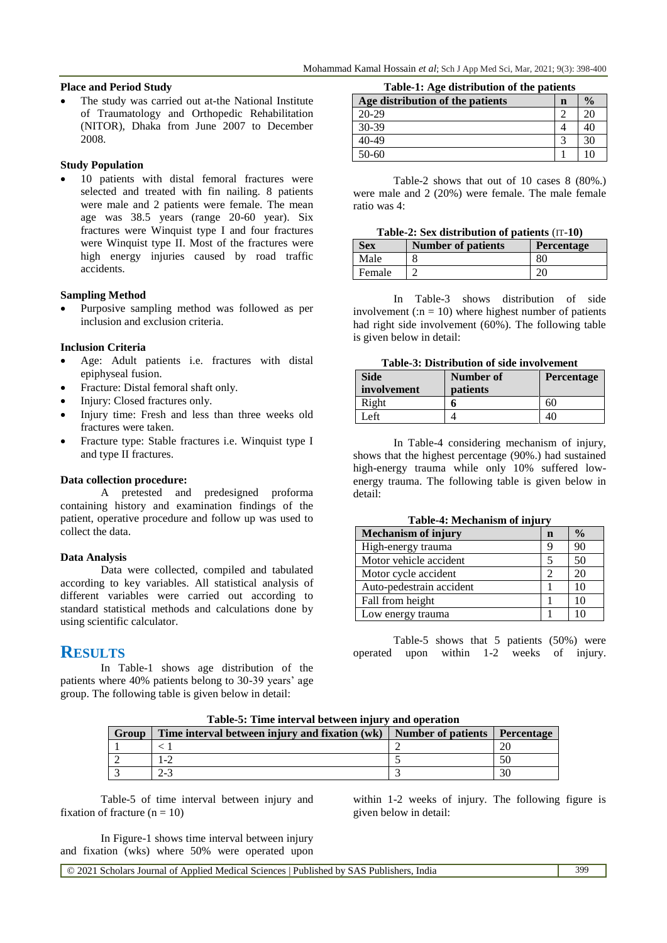#### **Place and Period Study**

 The study was carried out at-the National Institute of Traumatology and Orthopedic Rehabilitation (NITOR), Dhaka from June 2007 to December 2008.

#### **Study Population**

 10 patients with distal femoral fractures were selected and treated with fin nailing. 8 patients were male and 2 patients were female. The mean age was 38.5 years (range 20-60 year). Six fractures were Winquist type I and four fractures were Winquist type II. Most of the fractures were high energy injuries caused by road traffic accidents.

#### **Sampling Method**

 Purposive sampling method was followed as per inclusion and exclusion criteria.

#### **Inclusion Criteria**

- Age: Adult patients i.e. fractures with distal epiphyseal fusion.
- Fracture: Distal femoral shaft only.
- Injury: Closed fractures only.
- Injury time: Fresh and less than three weeks old fractures were taken.
- Fracture type: Stable fractures i.e. Winquist type I and type II fractures.

#### **Data collection procedure:**

A pretested and predesigned proforma containing history and examination findings of the patient, operative procedure and follow up was used to collect the data.

#### **Data Analysis**

Data were collected, compiled and tabulated according to key variables. All statistical analysis of different variables were carried out according to standard statistical methods and calculations done by using scientific calculator.

## **RESULTS**

In Table-1 shows age distribution of the patients where 40% patients belong to 30-39 years' age group. The following table is given below in detail:

**Table-1: Age distribution of the patients**

| $2.0022$ 2.12 $\pm$ 0.000 0.000 0.000 0.000 0.000 0.000 0.000 |             |               |
|---------------------------------------------------------------|-------------|---------------|
| Age distribution of the patients                              | $\mathbf n$ | $\frac{0}{0}$ |
| $20 - 29$                                                     |             | 20            |
| $30-39$                                                       |             | 40            |
| 40-49                                                         | ⌒           | 30            |
| 50-60                                                         |             | ١ſ            |

Table-2 shows that out of 10 cases 8 (80%.) were male and 2 (20%) were female. The male female ratio was 4:

|  | Table-2: Sex distribution of patients (IT-10) |  |  |
|--|-----------------------------------------------|--|--|
|--|-----------------------------------------------|--|--|

| <b>Sex</b> | <b>Number of patients</b> | <b>Percentage</b> |
|------------|---------------------------|-------------------|
| Male       |                           | 80                |
| Female     |                           | 20                |

In Table-3 shows distribution of side involvement (: $n = 10$ ) where highest number of patients had right side involvement (60%). The following table is given below in detail:

#### **Table-3: Distribution of side involvement**

| <b>Side</b><br>involvement | <b>Number of</b><br><b>patients</b> | <b>Percentage</b> |
|----------------------------|-------------------------------------|-------------------|
| Right                      |                                     | 60                |
| Left                       |                                     | 40                |

In Table-4 considering mechanism of injury, shows that the highest percentage (90%.) had sustained high-energy trauma while only 10% suffered lowenergy trauma. The following table is given below in detail:

|  | Table-4: Mechanism of injury |  |  |  |
|--|------------------------------|--|--|--|
|--|------------------------------|--|--|--|

| <b>Mechanism of injury</b> | n | $\frac{0}{0}$ |
|----------------------------|---|---------------|
| High-energy trauma         | 9 | 90            |
| Motor vehicle accident     |   | 50            |
| Motor cycle accident       | ႒ | 20            |
| Auto-pedestrain accident   |   | 10            |
| Fall from height           |   | 10            |
| Low energy trauma          |   |               |

Table-5 shows that 5 patients (50%) were operated upon within 1-2 weeks of injury.

**Table-5: Time interval between injury and operation**

| Group | Time interval between injury and fixation (wk)   Number of patients   Percentage |  |
|-------|----------------------------------------------------------------------------------|--|
|       |                                                                                  |  |
|       | -2                                                                               |  |
|       | - - /                                                                            |  |

Table-5 of time interval between injury and fixation of fracture  $(n = 10)$ 

In Figure-1 shows time interval between injury and fixation (wks) where 50% were operated upon within 1-2 weeks of injury. The following figure is given below in detail:

© 2021 Scholars Journal of Applied Medical Sciences | Published by SAS Publishers, India 399